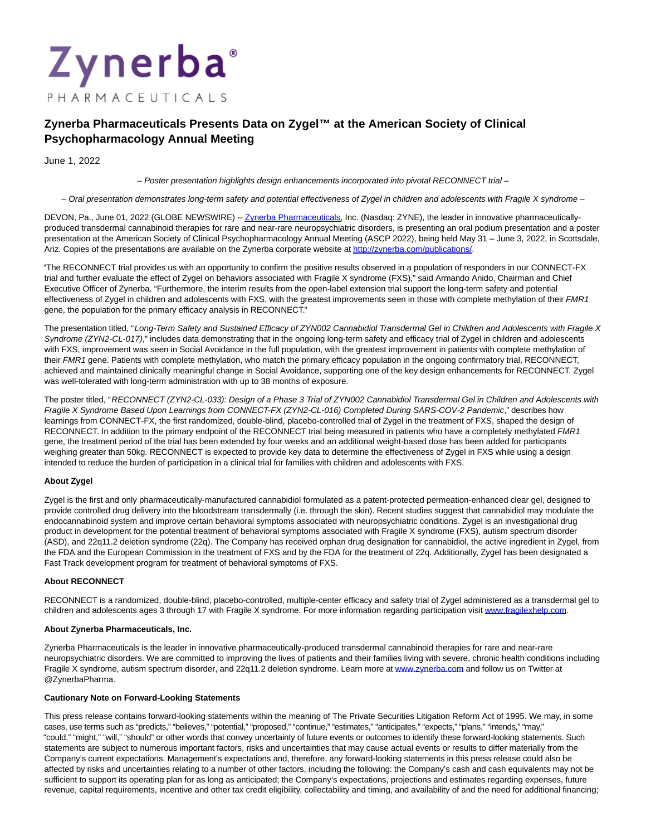# Zynerba PHARMACEUTICALS

## **Zynerba Pharmaceuticals Presents Data on Zygel™ at the American Society of Clinical Psychopharmacology Annual Meeting**

June 1, 2022

– Poster presentation highlights design enhancements incorporated into pivotal RECONNECT trial –

– Oral presentation demonstrates long-term safety and potential effectiveness of Zygel in children and adolescents with Fragile X syndrome –

DEVON, Pa., June 01, 2022 (GLOBE NEWSWIRE) -[- Zynerba Pharmaceuticals,](https://www.globenewswire.com/Tracker?data=-5Iy31DHaKn-Oh65WseKXZ2dmyxms-O4fvswEPf4vsa87Fg9LkIruvbLDYJQ2Mo4r-dEi3uRHk9pmRabt9UCWKJrphTW-bHBl9z9oDOua98=) Inc. (Nasdaq: ZYNE), the leader in innovative pharmaceuticallyproduced transdermal cannabinoid therapies for rare and near-rare neuropsychiatric disorders, is presenting an oral podium presentation and a poster presentation at the American Society of Clinical Psychopharmacology Annual Meeting (ASCP 2022), being held May 31 – June 3, 2022, in Scottsdale, Ariz. Copies of the presentations are available on the Zynerba corporate website at [http://zynerba.com/publications/.](https://www.globenewswire.com/Tracker?data=bbqUqKkom6ORz3Xt2gVyLiAYCfzwFnrHtvkP1ay2SzSjU5bcq3Kqk2FkiRBc1Wx1J5MpHVhTVUf4-OLf4iiyLCUvK9ivUrPU60pRJHIr0n3U13csTrHVjYQ7KDMDaTuf)

"The RECONNECT trial provides us with an opportunity to confirm the positive results observed in a population of responders in our CONNECT-FX trial and further evaluate the effect of Zygel on behaviors associated with Fragile X syndrome (FXS)," said Armando Anido, Chairman and Chief Executive Officer of Zynerba. "Furthermore, the interim results from the open-label extension trial support the long-term safety and potential effectiveness of Zygel in children and adolescents with FXS, with the greatest improvements seen in those with complete methylation of their FMR1 gene, the population for the primary efficacy analysis in RECONNECT."

The presentation titled, "Long-Term Safety and Sustained Efficacy of ZYN002 Cannabidiol Transdermal Gel in Children and Adolescents with Fragile X Syndrome (ZYN2-CL-017)," includes data demonstrating that in the ongoing long-term safety and efficacy trial of Zygel in children and adolescents with FXS, improvement was seen in Social Avoidance in the full population, with the greatest improvement in patients with complete methylation of their FMR1 gene. Patients with complete methylation, who match the primary efficacy population in the ongoing confirmatory trial, RECONNECT, achieved and maintained clinically meaningful change in Social Avoidance, supporting one of the key design enhancements for RECONNECT. Zygel was well-tolerated with long-term administration with up to 38 months of exposure.

The poster titled, "RECONNECT (ZYN2-CL-033): Design of a Phase 3 Trial of ZYN002 Cannabidiol Transdermal Gel in Children and Adolescents with Fragile X Syndrome Based Upon Learnings from CONNECT-FX (ZYN2-CL-016) Completed During SARS-COV-2 Pandemic," describes how learnings from CONNECT-FX, the first randomized, double-blind, placebo-controlled trial of Zygel in the treatment of FXS, shaped the design of RECONNECT. In addition to the primary endpoint of the RECONNECT trial being measured in patients who have a completely methylated FMR1 gene, the treatment period of the trial has been extended by four weeks and an additional weight-based dose has been added for participants weighing greater than 50kg. RECONNECT is expected to provide key data to determine the effectiveness of Zygel in FXS while using a design intended to reduce the burden of participation in a clinical trial for families with children and adolescents with FXS.

### **About Zygel**

Zygel is the first and only pharmaceutically-manufactured cannabidiol formulated as a patent-protected permeation-enhanced clear gel, designed to provide controlled drug delivery into the bloodstream transdermally (i.e. through the skin). Recent studies suggest that cannabidiol may modulate the endocannabinoid system and improve certain behavioral symptoms associated with neuropsychiatric conditions. Zygel is an investigational drug product in development for the potential treatment of behavioral symptoms associated with Fragile X syndrome (FXS), autism spectrum disorder (ASD), and 22q11.2 deletion syndrome (22q). The Company has received orphan drug designation for cannabidiol, the active ingredient in Zygel, from the FDA and the European Commission in the treatment of FXS and by the FDA for the treatment of 22q. Additionally, Zygel has been designated a Fast Track development program for treatment of behavioral symptoms of FXS.

#### **About RECONNECT**

RECONNECT is a randomized, double-blind, placebo-controlled, multiple-center efficacy and safety trial of Zygel administered as a transdermal gel to children and adolescents ages 3 through 17 with Fragile X syndrome. For more information regarding participation visit [www.fragilexhelp.com.](https://www.globenewswire.com/Tracker?data=NZi1wsKjqzTtu4j2VnfiwIYHaemdUuLYSYlvm2elnfJeLFg-HJkDes7hddwGSjaBOL7A615p3kRgoXKyrKu0LSEtCFkCOJpxIQI9hX1aK0Q=)

#### **About Zynerba Pharmaceuticals, Inc.**

Zynerba Pharmaceuticals is the leader in innovative pharmaceutically-produced transdermal cannabinoid therapies for rare and near-rare neuropsychiatric disorders. We are committed to improving the lives of patients and their families living with severe, chronic health conditions including Fragile X syndrome, autism spectrum disorder, and 22q11.2 deletion syndrome. Learn more at [www.zynerba.com a](https://www.globenewswire.com/Tracker?data=a54LHBW06OeJa7rCMmAEMfWfkIumfGp8BR6PEzRhrayBEfQSEU1auOKJMtDFc5xSx5WINVSbWCfjVEM3SqT4xA==)nd follow us on Twitter at @ZynerbaPharma.

#### **Cautionary Note on Forward-Looking Statements**

This press release contains forward-looking statements within the meaning of The Private Securities Litigation Reform Act of 1995. We may, in some cases, use terms such as "predicts," "believes," "potential," "proposed," "continue," "estimates," "anticipates," "expects," "plans," "intends," "may," "could," "might," "will," "should" or other words that convey uncertainty of future events or outcomes to identify these forward-looking statements. Such statements are subject to numerous important factors, risks and uncertainties that may cause actual events or results to differ materially from the Company's current expectations. Management's expectations and, therefore, any forward-looking statements in this press release could also be affected by risks and uncertainties relating to a number of other factors, including the following: the Company's cash and cash equivalents may not be sufficient to support its operating plan for as long as anticipated; the Company's expectations, projections and estimates regarding expenses, future revenue, capital requirements, incentive and other tax credit eligibility, collectability and timing, and availability of and the need for additional financing;